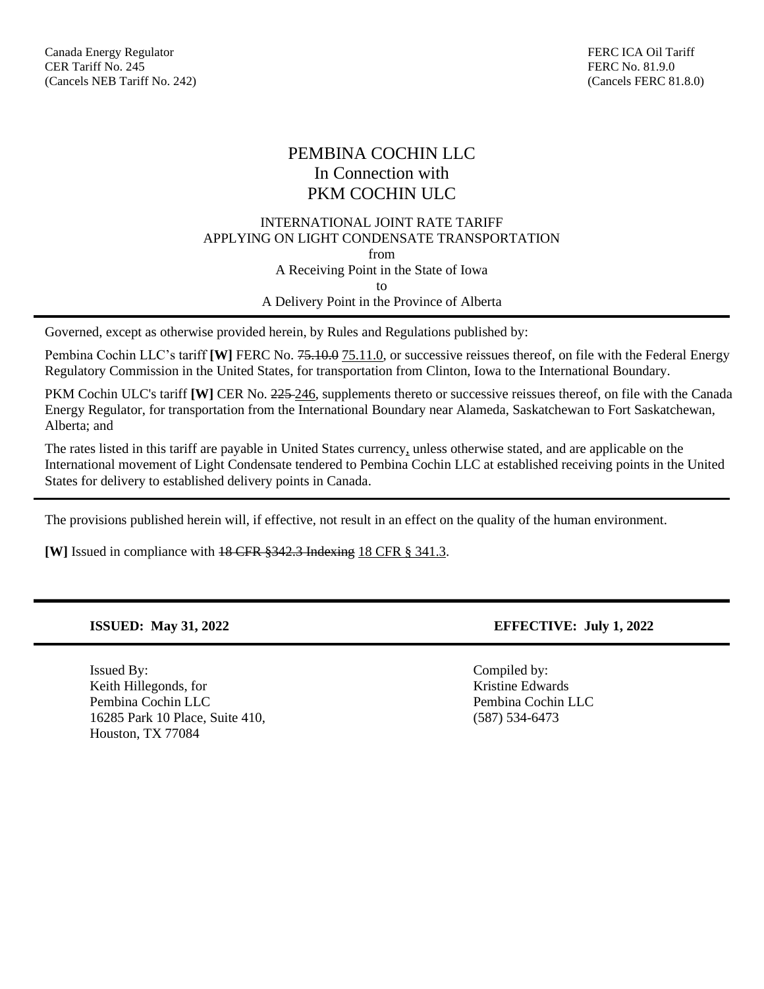# PEMBINA COCHIN LLC In Connection with PKM COCHIN ULC

## INTERNATIONAL JOINT RATE TARIFF APPLYING ON LIGHT CONDENSATE TRANSPORTATION from A Receiving Point in the State of Iowa to A Delivery Point in the Province of Alberta

Governed, except as otherwise provided herein, by Rules and Regulations published by:

Pembina Cochin LLC's tariff **[W]** FERC No. <del>75.10.0</del> 75.11.0, or successive reissues thereof, on file with the Federal Energy Regulatory Commission in the United States, for transportation from Clinton, Iowa to the International Boundary.

PKM Cochin ULC's tariff **[W]** CER No. 225-246, supplements thereto or successive reissues thereof, on file with the Canada Energy Regulator, for transportation from the International Boundary near Alameda, Saskatchewan to Fort Saskatchewan, Alberta; and

The rates listed in this tariff are payable in United States currency, unless otherwise stated, and are applicable on the International movement of Light Condensate tendered to Pembina Cochin LLC at established receiving points in the United States for delivery to established delivery points in Canada.

The provisions published herein will, if effective, not result in an effect on the quality of the human environment.

**[W]** Issued in compliance with 18 CFR §342.3 Indexing 18 CFR § 341.3.

Issued By: Compiled by: Keith Hillegonds, for **Kristine Edwards** Kristine Edwards Pembina Cochin LLC Pembina Cochin LLC 16285 Park 10 Place, Suite 410, (587) 534-6473 Houston, TX 77084

**ISSUED: May 31, 2022 EFFECTIVE: July 1, 2022**